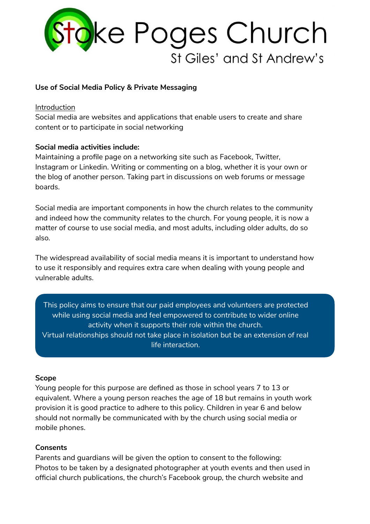

### **Use of Social Media Policy & Private Messaging**

#### Introduction

Social media are websites and applications that enable users to create and share content or to participate in social networking

### **Social media activities include:**

Maintaining a profile page on a networking site such as Facebook, Twitter, Instagram or Linkedin. Writing or commenting on a blog, whether it is your own or the blog of another person. Taking part in discussions on web forums or message boards.

Social media are important components in how the church relates to the community and indeed how the community relates to the church. For young people, it is now a matter of course to use social media, and most adults, including older adults, do so also.

The widespread availability of social media means it is important to understand how to use it responsibly and requires extra care when dealing with young people and vulnerable adults.

This policy aims to ensure that our paid employees and volunteers are protected while using social media and feel empowered to contribute to wider online activity when it supports their role within the church. Virtual relationships should not take place in isolation but be an extension of real life interaction.

### **Scope**

Young people for this purpose are defined as those in school years 7 to 13 or equivalent. Where a young person reaches the age of 18 but remains in youth work provision it is good practice to adhere to this policy. Children in year 6 and below should not normally be communicated with by the church using social media or mobile phones.

### **Consents**

Parents and guardians will be given the option to consent to the following: Photos to be taken by a designated photographer at youth events and then used in official church publications, the church's Facebook group, the church website and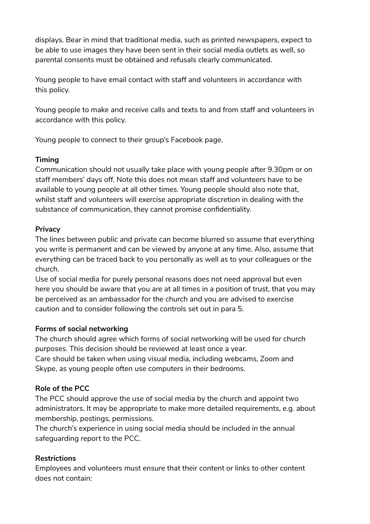displays. Bear in mind that traditional media, such as printed newspapers, expect to be able to use images they have been sent in their social media outlets as well, so parental consents must be obtained and refusals clearly communicated.

Young people to have email contact with staff and volunteers in accordance with this policy.

Young people to make and receive calls and texts to and from staff and volunteers in accordance with this policy.

Young people to connect to their group's Facebook page.

## **Timing**

Communication should not usually take place with young people after 9.30pm or on staff members' days off. Note this does not mean staff and volunteers have to be available to young people at all other times. Young people should also note that, whilst staff and volunteers will exercise appropriate discretion in dealing with the substance of communication, they cannot promise confidentiality.

## **Privacy**

The lines between public and private can become blurred so assume that everything you write is permanent and can be viewed by anyone at any time. Also, assume that everything can be traced back to you personally as well as to your colleagues or the church.

Use of social media for purely personal reasons does not need approval but even here you should be aware that you are at all times in a position of trust, that you may be perceived as an ambassador for the church and you are advised to exercise caution and to consider following the controls set out in para 5.

# **Forms of social networking**

The church should agree which forms of social networking will be used for church purposes. This decision should be reviewed at least once a year.

Care should be taken when using visual media, including webcams, Zoom and Skype, as young people often use computers in their bedrooms.

# **Role of the PCC**

The PCC should approve the use of social media by the church and appoint two administrators. It may be appropriate to make more detailed requirements, e.g. about membership, postings, permissions.

The church's experience in using social media should be included in the annual safeguarding report to the PCC.

# **Restrictions**

Employees and volunteers must ensure that their content or links to other content does not contain: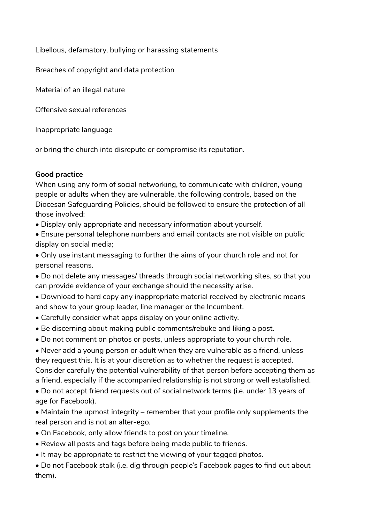Libellous, defamatory, bullying or harassing statements

Breaches of copyright and data protection

Material of an illegal nature

Offensive sexual references

Inappropriate language

or bring the church into disrepute or compromise its reputation.

## **Good practice**

When using any form of social networking, to communicate with children, young people or adults when they are vulnerable, the following controls, based on the Diocesan Safeguarding Policies, should be followed to ensure the protection of all those involved:

• Display only appropriate and necessary information about yourself.

• Ensure personal telephone numbers and email contacts are not visible on public display on social media;

• Only use instant messaging to further the aims of your church role and not for personal reasons.

• Do not delete any messages/ threads through social networking sites, so that you can provide evidence of your exchange should the necessity arise.

• Download to hard copy any inappropriate material received by electronic means and show to your group leader, line manager or the Incumbent.

- Carefully consider what apps display on your online activity.
- Be discerning about making public comments/rebuke and liking a post.
- Do not comment on photos or posts, unless appropriate to your church role.

• Never add a young person or adult when they are vulnerable as a friend, unless they request this. It is at your discretion as to whether the request is accepted. Consider carefully the potential vulnerability of that person before accepting them as a friend, especially if the accompanied relationship is not strong or well established.

• Do not accept friend requests out of social network terms (i.e. under 13 years of age for Facebook).

• Maintain the upmost integrity – remember that your profile only supplements the real person and is not an alter-ego.

- On Facebook, only allow friends to post on your timeline.
- Review all posts and tags before being made public to friends.
- It may be appropriate to restrict the viewing of your tagged photos.

• Do not Facebook stalk (i.e. dig through people's Facebook pages to find out about them).